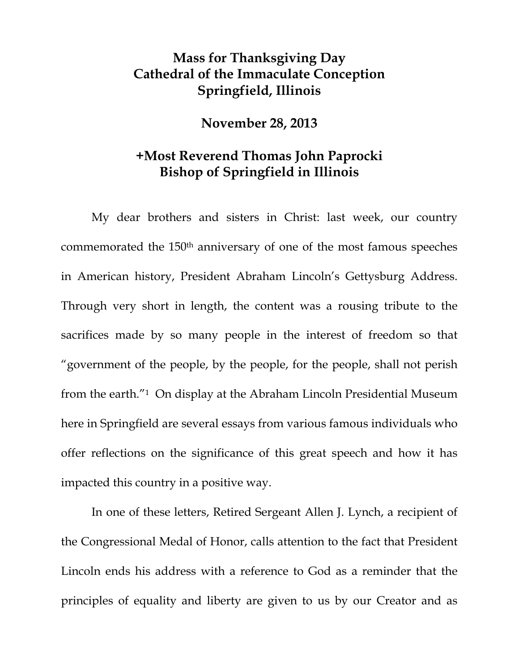## **Mass for Thanksgiving Day Cathedral of the Immaculate Conception Springfield, Illinois**

## **November 28, 2013**

## **+Most Reverend Thomas John Paprocki Bishop of Springfield in Illinois**

My dear brothers and sisters in Christ: last week, our country commemorated the 150th anniversary of one of the most famous speeches in American history, President Abraham Lincoln's Gettysburg Address. Through very short in length, the content was a rousing tribute to the sacrifices made by so many people in the interest of freedom so that "government of the people, by the people, for the people, shall not perish from the earth."1 On display at the Abraham Lincoln Presidential Museum here in Springfield are several essays from various famous individuals who offer reflections on the significance of this great speech and how it has impacted this country in a positive way.

In one of these letters, Retired Sergeant Allen J. Lynch, a recipient of the Congressional Medal of Honor, calls attention to the fact that President Lincoln ends his address with a reference to God as a reminder that the principles of equality and liberty are given to us by our Creator and as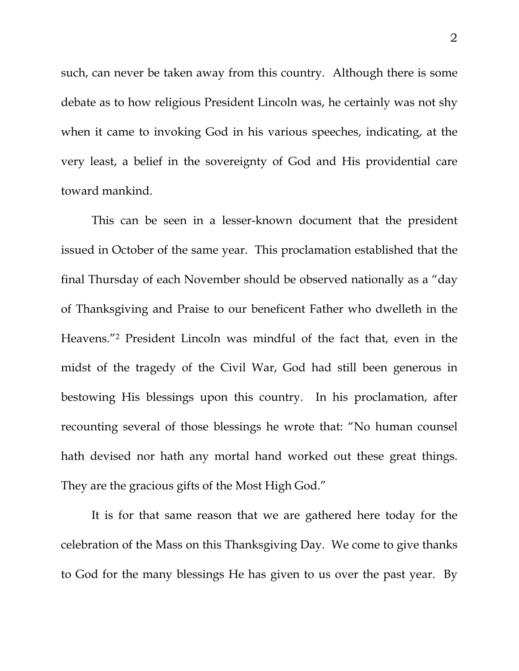such, can never be taken away from this country. Although there is some debate as to how religious President Lincoln was, he certainly was not shy when it came to invoking God in his various speeches, indicating, at the very least, a belief in the sovereignty of God and His providential care toward mankind.

This can be seen in a lesser-known document that the president issued in October of the same year. This proclamation established that the final Thursday of each November should be observed nationally as a "day of Thanksgiving and Praise to our beneficent Father who dwelleth in the Heavens."2 President Lincoln was mindful of the fact that, even in the midst of the tragedy of the Civil War, God had still been generous in bestowing His blessings upon this country. In his proclamation, after recounting several of those blessings he wrote that: "No human counsel hath devised nor hath any mortal hand worked out these great things. They are the gracious gifts of the Most High God."

It is for that same reason that we are gathered here today for the celebration of the Mass on this Thanksgiving Day. We come to give thanks to God for the many blessings He has given to us over the past year. By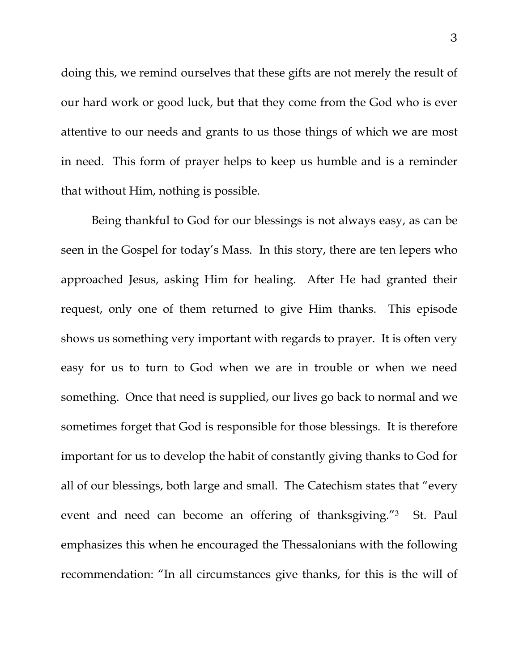doing this, we remind ourselves that these gifts are not merely the result of our hard work or good luck, but that they come from the God who is ever attentive to our needs and grants to us those things of which we are most in need. This form of prayer helps to keep us humble and is a reminder that without Him, nothing is possible.

Being thankful to God for our blessings is not always easy, as can be seen in the Gospel for today's Mass. In this story, there are ten lepers who approached Jesus, asking Him for healing. After He had granted their request, only one of them returned to give Him thanks. This episode shows us something very important with regards to prayer. It is often very easy for us to turn to God when we are in trouble or when we need something. Once that need is supplied, our lives go back to normal and we sometimes forget that God is responsible for those blessings. It is therefore important for us to develop the habit of constantly giving thanks to God for all of our blessings, both large and small. The Catechism states that "every event and need can become an offering of thanksgiving."3 St. Paul emphasizes this when he encouraged the Thessalonians with the following recommendation: "In all circumstances give thanks, for this is the will of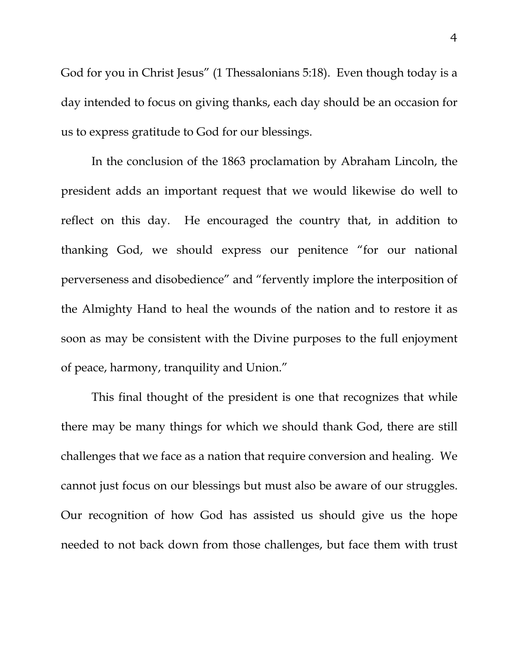God for you in Christ Jesus" (1 Thessalonians 5:18). Even though today is a day intended to focus on giving thanks, each day should be an occasion for us to express gratitude to God for our blessings.

In the conclusion of the 1863 proclamation by Abraham Lincoln, the president adds an important request that we would likewise do well to reflect on this day. He encouraged the country that, in addition to thanking God, we should express our penitence "for our national perverseness and disobedience" and "fervently implore the interposition of the Almighty Hand to heal the wounds of the nation and to restore it as soon as may be consistent with the Divine purposes to the full enjoyment of peace, harmony, tranquility and Union."

This final thought of the president is one that recognizes that while there may be many things for which we should thank God, there are still challenges that we face as a nation that require conversion and healing. We cannot just focus on our blessings but must also be aware of our struggles. Our recognition of how God has assisted us should give us the hope needed to not back down from those challenges, but face them with trust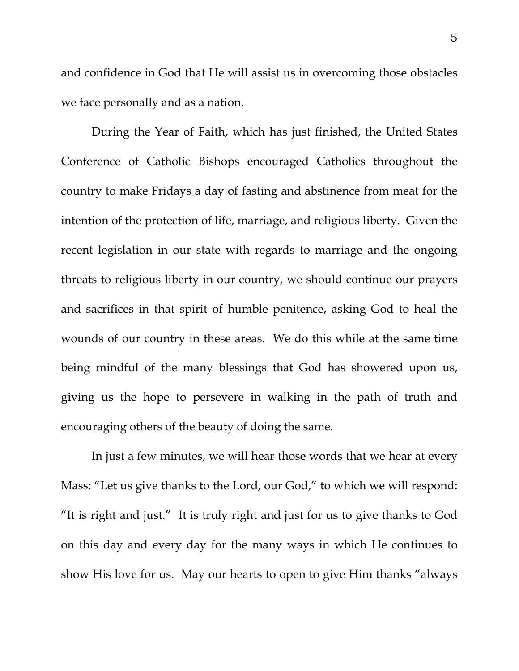and confidence in God that He will assist us in overcoming those obstacles we face personally and as a nation.

During the Year of Faith, which has just finished, the United States Conference of Catholic Bishops encouraged Catholics throughout the country to make Fridays a day of fasting and abstinence from meat for the intention of the protection of life, marriage, and religious liberty. Given the recent legislation in our state with regards to marriage and the ongoing threats to religious liberty in our country, we should continue our prayers and sacrifices in that spirit of humble penitence, asking God to heal the wounds of our country in these areas. We do this while at the same time being mindful of the many blessings that God has showered upon us, giving us the hope to persevere in walking in the path of truth and encouraging others of the beauty of doing the same.

In just a few minutes, we will hear those words that we hear at every Mass: "Let us give thanks to the Lord, our God," to which we will respond: "It is right and just." It is truly right and just for us to give thanks to God on this day and every day for the many ways in which He continues to show His love for us. May our hearts to open to give Him thanks "always